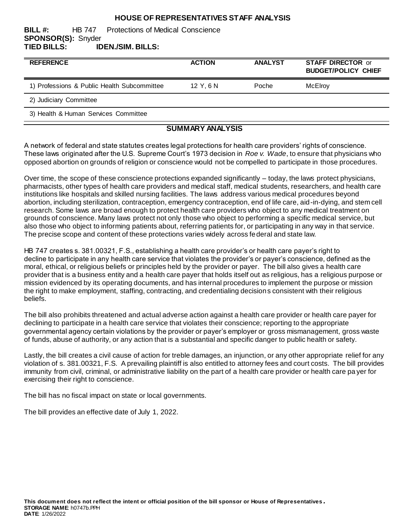#### **HOUSE OF REPRESENTATIVES STAFF ANALYSIS**

#### **BILL #:** HB 747 Protections of Medical Conscience **SPONSOR(S):** Snyder **TIED BILLS: IDEN./SIM. BILLS:**

| <b>REFERENCE</b>                            | <b>ACTION</b> | <b>ANALYST</b> | <b>STAFF DIRECTOR or</b><br><b>BUDGET/POLICY CHIEF</b> |
|---------------------------------------------|---------------|----------------|--------------------------------------------------------|
| 1) Professions & Public Health Subcommittee | 12 Y.6 N      | Poche          | McElroy                                                |
| 2) Judiciary Committee                      |               |                |                                                        |
|                                             |               |                |                                                        |

3) Health & Human Services Committee

## **SUMMARY ANALYSIS**

A network of federal and state statutes creates legal protections for health care providers' rights of conscience. These laws originated after the U.S. Supreme Court's 1973 decision in *Roe v. Wade*, to ensure that physicians who opposed abortion on grounds of religion or conscience would not be compelled to participate in those procedures.

Over time, the scope of these conscience protections expanded significantly – today, the laws protect physicians, pharmacists, other types of health care providers and medical staff, medical students, researchers, and health care institutions like hospitals and skilled nursing facilities. The laws address various medical procedures beyond abortion, including sterilization, contraception, emergency contraception, end of life care, aid-in-dying, and stem cell research. Some laws are broad enough to protect health care providers who object to any medical treatment on grounds of conscience. Many laws protect not only those who object to performing a specific medical service, but also those who object to informing patients about, referring patients for, or participating in any way in that service. The precise scope and content of these protections varies widely across federal and state law.

HB 747 creates s. 381.00321, F.S., establishing a health care provider's or health care payer's right to decline to participate in any health care service that violates the provider's or payer's conscience, defined as the moral, ethical, or religious beliefs or principles held by the provider or payer. The bill also gives a health care provider that is a business entity and a health care payer that holds itself out as religious, has a religious purpose or mission evidenced by its operating documents, and has internal procedures to implement the purpose or mission the right to make employment, staffing, contracting, and credentialing decisions consistent with their religious beliefs.

The bill also prohibits threatened and actual adverse action against a health care provider or health care payer for declining to participate in a health care service that violates their conscience; reporting to the appropriate governmental agency certain violations by the provider or payer's employer or gross mismanagement, gross waste of funds, abuse of authority, or any action that is a substantial and specific danger to public health or safety.

Lastly, the bill creates a civil cause of action for treble damages, an injunction, or any other appropriate relief for any violation of s. 381.00321, F.S. A prevailing plaintiff is also entitled to attorney fees and court costs. The bill provides immunity from civil, criminal, or administrative liability on the part of a health care provider or health care pa yer for exercising their right to conscience.

The bill has no fiscal impact on state or local governments.

The bill provides an effective date of July 1, 2022.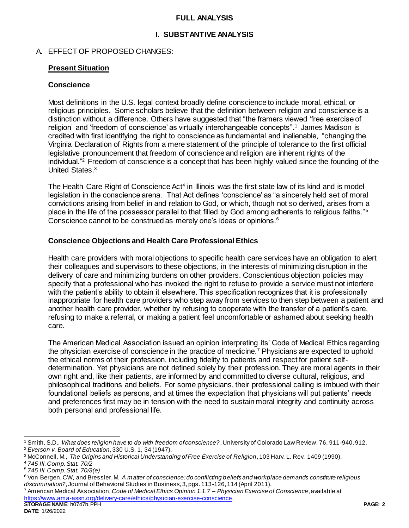#### **FULL ANALYSIS**

## **I. SUBSTANTIVE ANALYSIS**

### A. EFFECT OF PROPOSED CHANGES:

#### **Present Situation**

#### **Conscience**

Most definitions in the U.S. legal context broadly define conscience to include moral, ethical, or religious principles. Some scholars believe that the definition between religion and conscience is a distinction without a difference. Others have suggested that "the framers viewed 'free exercise of religion' and 'freedom of conscience' as virtually interchangeable concepts".<sup>1</sup> James Madison is credited with first identifying the right to conscience as fundamental and inalienable, "changing the Virginia Declaration of Rights from a mere statement of the principle of tolerance to the first official legislative pronouncement that freedom of conscience and religion are inherent rights of the individual."<sup>2</sup> Freedom of conscience is a concept that has been highly valued since the founding of the United States.<sup>3</sup>

The Health Care Right of Conscience Act<sup>4</sup> in Illinois was the first state law of its kind and is model legislation in the conscience arena. That Act defines 'conscience' as "a sincerely held set of moral convictions arising from belief in and relation to God, or which, though not so derived, arises from a place in the life of the possessor parallel to that filled by God among adherents to religious faiths."<sup>5</sup> Conscience cannot to be construed as merely one's ideas or opinions.<sup>6</sup>

## **Conscience Objections and Health Care Professional Ethics**

Health care providers with moral objections to specific health care services have an obligation to alert their colleagues and supervisors to these objections, in the interests of minimizing disruption in the delivery of care and minimizing burdens on other providers. Conscientious objection policies may specify that a professional who has invoked the right to refuse to provide a service must not interfere with the patient's ability to obtain it elsewhere. This specification recognizes that it is professionally inappropriate for health care providers who step away from services to then step between a patient and another health care provider, whether by refusing to cooperate with the transfer of a patient's care, refusing to make a referral, or making a patient feel uncomfortable or ashamed about seeking health care.

The American Medical Association issued an opinion interpreting its' Code of Medical Ethics regarding the physician exercise of conscience in the practice of medicine.<sup>7</sup> Physicians are expected to uphold the ethical norms of their profession, including fidelity to patients and respect for patient selfdetermination. Yet physicians are not defined solely by their profession. They are moral agents in their own right and, like their patients, are informed by and committed to diverse cultural, religious, and philosophical traditions and beliefs. For some physicians, their professional calling is imbued with their foundational beliefs as persons, and at times the expectation that physicians will put patients' needs and preferences first may be in tension with the need to sustain moral integrity and continuity across both personal and professional life.

**STORAGE NAME**: h0747b.PPH **PAGE: 2** <sup>7</sup> American Medical Association, *Code of Medical Ethics Opinion 1.1.7 – Physician Exercise of Conscience*, available at <https://www.ama-assn.org/delivery-care/ethics/physician-exercise-conscience>.

l <sup>1</sup> Smith, S.D., *What does religion have to do with freedom of conscience?*, University of Colorado Law Review, 76, 911-940, 912. <sup>2</sup> *Everson v. Board of Education*, 330 U.S. 1, 34 (1947).

<sup>3</sup> McConnell, M., *The Origins and Historical Understanding of Free Exercise of Religion*, 103 Harv. L. Rev. 1409 (1990).

<sup>4</sup> *745 Ill. Comp. Stat. 70/2*

<sup>5</sup> *745 Ill. Comp. Stat. 70/3(e)*

<sup>6</sup> Von Bergen, CW, and Bressler, M, *A matter of conscience: do conflicting beliefs and workplace demands constitute religious discrimination?*, Journal of Behavioral Studies in Business, 3, pgs. 113-126, 114 (April 2011).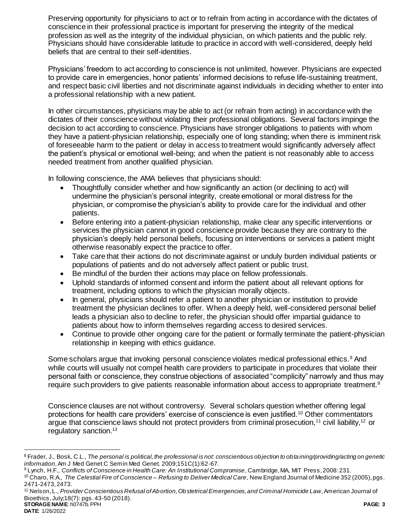Preserving opportunity for physicians to act or to refrain from acting in accordance with the dictates of conscience in their professional practice is important for preserving the integrity of the medical profession as well as the integrity of the individual physician, on which patients and the public rely. Physicians should have considerable latitude to practice in accord with well-considered, deeply held beliefs that are central to their self-identities.

Physicians' freedom to act according to conscience is not unlimited, however. Physicians are expected to provide care in emergencies, honor patients' informed decisions to refuse life-sustaining treatment, and respect basic civil liberties and not discriminate against individuals in deciding whether to enter into a professional relationship with a new patient.

In other circumstances, physicians may be able to act (or refrain from acting) in accordance with the dictates of their conscience without violating their professional obligations. Several factors impinge the decision to act according to conscience. Physicians have stronger obligations to patients with whom they have a patient-physician relationship, especially one of long standing; when there is imminent risk of foreseeable harm to the patient or delay in access to treatment would significantly adversely affect the patient's physical or emotional well-being; and when the patient is not reasonably able to access needed treatment from another qualified physician.

In following conscience, the AMA believes that physicians should:

- Thoughtfully consider whether and how significantly an action (or declining to act) will undermine the physician's personal integrity, create emotional or moral distress for the physician, or compromise the physician's ability to provide care for the individual and other patients.
- Before entering into a patient-physician relationship, make clear any specific interventions or services the physician cannot in good conscience provide because they are contrary to the physician's deeply held personal beliefs, focusing on interventions or services a patient might otherwise reasonably expect the practice to offer.
- Take care that their actions do not discriminate against or unduly burden individual patients or populations of patients and do not adversely affect patient or public trust.
- Be mindful of the burden their actions may place on fellow professionals.
- Uphold standards of informed consent and inform the patient about all relevant options for treatment, including options to which the physician morally objects.
- In general, physicians should refer a patient to another physician or institution to provide treatment the physician declines to offer. When a deeply held, well-considered personal belief leads a physician also to decline to refer, the physician should offer impartial guidance to patients about how to inform themselves regarding access to desired services.
- Continue to provide other ongoing care for the patient or formally terminate the patient-physician relationship in keeping with ethics guidance.

Some scholars argue that invoking personal conscience violates medical professional ethics.<sup>8</sup> And while courts will usually not compel health care providers to participate in procedures that violate their personal faith or conscience, they construe objections of associated "complicity" narrowly and thus may require such providers to give patients reasonable information about access to appropriate treatment.<sup>9</sup>

Conscience clauses are not without controversy. Several scholars question whether offering legal protections for health care providers' exercise of conscience is even justified.<sup>10</sup> Other commentators argue that conscience laws should not protect providers from criminal prosecution,<sup>11</sup> civil liability,<sup>12</sup> or regulatory sanction.<sup>13</sup>

**STORAGE NAME**: h0747b.PPH **PAGE: 3** <sup>11</sup> Nelson, L., *Provider Conscientious Refusal of Abortion, Obstetrical Emergencies, and Criminal Homicide Law*, American Journal of Bioethics, July;18(7): pgs. 43-50 (2018).

l

<sup>8</sup> Frader, J., Bosk, C.L., *The personal is political, the professional is not: conscientious objection to obtaining/providing/acting on genetic information*, Am J Med Genet C Semin Med Genet. 2009;151C(1):62-67.

<sup>9</sup> Lynch, H.F., *Conflicts of Conscience in Health Care: An Institutional Compromise*, Cambridge, MA, MIT Press, 2008: 231.

<sup>10</sup> Charo, R.A., *The Celestial Fire of Conscience – Refusing to Deliver Medical Care*, New England Journal of Medicine 352 (2005), pgs. 2471-2473, 2473.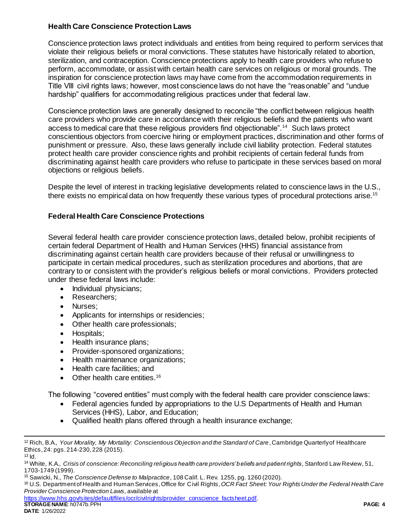## **Health Care Conscience Protection Laws**

Conscience protection laws protect individuals and entities from being required to perform services that violate their religious beliefs or moral convictions. These statutes have historically related to abortion, sterilization, and contraception. Conscience protections apply to health care providers who refuse to perform, accommodate, or assist with certain health care services on religious or moral grounds. The inspiration for conscience protection laws may have come from the accommodation requirements in Title VIII civil rights laws; however, most conscience laws do not have the "reasonable" and "undue hardship" qualifiers for accommodating religious practices under that federal law.

Conscience protection laws are generally designed to reconcile "the conflict between religious health care providers who provide care in accordance with their religious beliefs and the patients who want access to medical care that these religious providers find objectionable".<sup>14</sup> Such laws protect conscientious objectors from coercive hiring or employment practices, discrimination and other forms of punishment or pressure. Also, these laws generally include civil liability protection. Federal statutes protect health care provider conscience rights and prohibit recipients of certain federal funds from discriminating against health care providers who refuse to participate in these services based on moral objections or religious beliefs.

Despite the level of interest in tracking legislative developments related to conscience laws in the U.S., there exists no empirical data on how frequently these various types of procedural protections arise.<sup>15</sup>

## **Federal Health Care Conscience Protections**

Several federal health care provider conscience protection laws, detailed below, prohibit recipients of certain federal Department of Health and Human Services (HHS) financial assistance from discriminating against certain health care providers because of their refusal or unwillingness to participate in certain medical procedures, such as sterilization procedures and abortions, that are contrary to or consistent with the provider's religious beliefs or moral convictions. Providers protected under these federal laws include:

- Individual physicians;
- Researchers;
- Nurses:
- Applicants for internships or residencies;
- Other health care professionals;
- Hospitals;
- Health insurance plans;
- Provider-sponsored organizations;
- Health maintenance organizations;
- Health care facilities; and
- Other health care entities.<sup>16</sup>

The following "covered entities" must comply with the federal health care provider conscience laws:

- Federal agencies funded by appropriations to the U.S Departments of Health and Human Services (HHS), Labor, and Education;
- Qualified health plans offered through a health insurance exchange;

l

[https://www.hhs.gov/sites/default/files/ocr/civilrights/provider\\_conscience\\_factsheet.pdf](https://www.hhs.gov/sites/default/files/ocr/civilrights/provider_conscience_factsheet.pdf).

<sup>12</sup> Rich, B.A., *Your Morality, My Mortality: Conscientious Objection and the Standard of Care*, Cambridge Quarterly of Healthcare Ethics, 24: pgs. 214-230, 228 (2015).

 $13$   $\mathsf{Id}$ .

<sup>14</sup> White, K.A., *Crisis of conscience: Reconciling religious health care providers' beliefs and patient rights*, Stanford Law Review, 51, 1703-1749 (1999).

<sup>15</sup> Sawicki, N., *The Conscience Defense to Malpractice*, 108 Calif. L. Rev. 1255, pg. 1260 (2020).

<sup>16</sup> U.S. Department of Health and Human Services, Office for Civil Rights, *OCR Fact Sheet: Your Rights Under the Federal Health Care Provider Conscience Protection Laws*, available at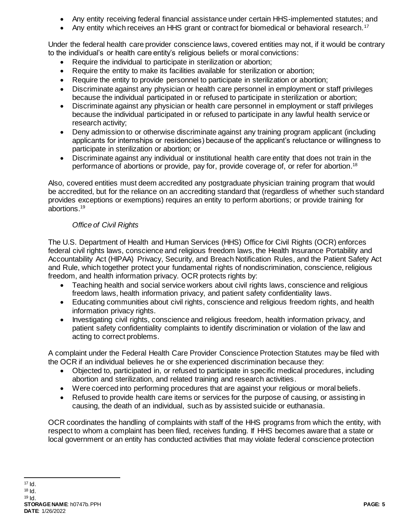- Any entity receiving federal financial assistance under certain HHS-implemented statutes; and
- Any entity which receives an HHS grant or contract for biomedical or behavioral research.<sup>17</sup>

Under the federal health care provider conscience laws, covered entities may not, if it would be contrary to the individual's or health care entity's religious beliefs or moral convictions:

- Require the individual to participate in sterilization or abortion;
- Require the entity to make its facilities available for sterilization or abortion;
- Require the entity to provide personnel to participate in sterilization or abortion;
- Discriminate against any physician or health care personnel in employment or staff privileges because the individual participated in or refused to participate in sterilization or abortion;
- Discriminate against any physician or health care personnel in employment or staff privileges because the individual participated in or refused to participate in any lawful health service or research activity;
- Deny admission to or otherwise discriminate against any training program applicant (including applicants for internships or residencies) because of the applicant's reluctance or willingness to participate in sterilization or abortion; or
- Discriminate against any individual or institutional health care entity that does not train in the performance of abortions or provide, pay for, provide coverage of, or refer for abortion. 18

Also, covered entities must deem accredited any postgraduate physician training program that would be accredited, but for the reliance on an accrediting standard that (regardless of whether such standard provides exceptions or exemptions) requires an entity to perform abortions; or provide training for abortions. 19

## *Office of Civil Rights*

The U.S. Department of Health and Human Services (HHS) Office for Civil Rights (OCR) enforces federal civil rights laws, conscience and religious freedom laws, the Health Insurance Portability and Accountability Act (HIPAA) Privacy, Security, and Breach Notification Rules, and the Patient Safety Act and Rule, which together protect your fundamental rights of nondiscrimination, conscience, religious freedom, and health information privacy. OCR protects rights by:

- Teaching health and social service workers about civil rights laws, conscience and religious freedom laws, health information privacy, and patient safety confidentiality laws.
- Educating communities about civil rights, conscience and religious freedom rights, and health information privacy rights.
- Investigating civil rights, conscience and religious freedom, health information privacy, and patient safety confidentiality complaints to identify discrimination or violation of the law and acting to correct problems.

A complaint under the Federal Health Care Provider Conscience Protection Statutes may be filed with the OCR if an individual believes he or she experienced discrimination because they:

- Objected to, participated in, or refused to participate in specific medical procedures, including abortion and sterilization, and related training and research activities.
- Were coerced into performing procedures that are against your religious or moral beliefs.
- Refused to provide health care items or services for the purpose of causing, or assisting in causing, the death of an individual, such as by assisted suicide or euthanasia.

OCR coordinates the handling of complaints with staff of the HHS programs from which the entity, with respect to whom a complaint has been filed, receives funding. If HHS becomes aware that a state or local government or an entity has conducted activities that may violate federal conscience protection

 $\overline{a}$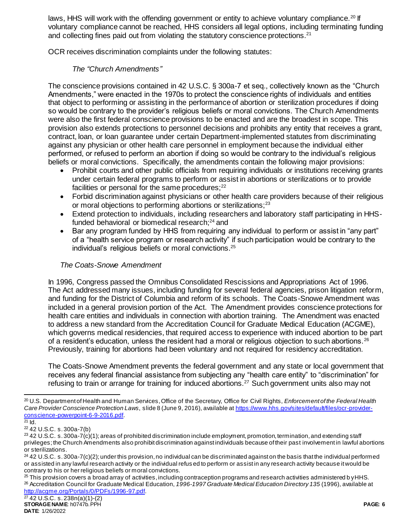laws, HHS will work with the offending government or entity to achieve voluntary compliance.<sup>20</sup> If voluntary compliance cannot be reached, HHS considers all legal options, including terminating funding and collecting fines paid out from violating the statutory conscience protections.<sup>21</sup>

OCR receives discrimination complaints under the following statutes:

## *The "Church Amendments"*

The conscience provisions contained in 42 U.S.C. § 300a-7 et seq., collectively known as the "Church Amendments," were enacted in the 1970s to protect the conscience rights of individuals and entities that object to performing or assisting in the performance of abortion or sterilization procedures if doing so would be contrary to the provider's religious beliefs or moral convictions. The Church Amendments were also the first federal conscience provisions to be enacted and are the broadest in scope. This provision also extends protections to personnel decisions and prohibits any entity that receives a grant, contract, loan, or loan guarantee under certain Department-implemented statutes from discriminating against any physician or other health care personnel in employment because the individual either performed, or refused to perform an abortion if doing so would be contrary to the individual's religious beliefs or moral convictions. Specifically, the amendments contain the following major provisions:

- Prohibit courts and other public officials from requiring individuals or institutions receiving grants under certain federal programs to perform or assist in abortions or sterilizations or to provide facilities or personal for the same procedures; $22$
- Forbid discrimination against physicians or other health care providers because of their religious or moral objections to performing abortions or sterilizations;<sup>23</sup>
- Extend protection to individuals, including researchers and laboratory staff participating in HHSfunded behavioral or biomedical research;<sup>24</sup> and
- Bar any program funded by HHS from requiring any individual to perform or assist in "any part" of a "health service program or research activity" if such participation would be contrary to the individual's religious beliefs or moral convictions.<sup>25</sup>

## *The Coats-Snowe Amendment*

In 1996, Congress passed the Omnibus Consolidated Rescissions and Appropriations Act of 1996. The Act addressed many issues, including funding for several federal agencies, prison litigation reform, and funding for the District of Columbia and reform of its schools. The Coats-Snowe Amendment was included in a general provision portion of the Act. The Amendment provides conscience protections for health care entities and individuals in connection with abortion training. The Amendment was enacted to address a new standard from the Accreditation Council for Graduate Medical Education (ACGME), which governs medical residencies, that required access to experience with induced abortion to be part of a resident's education, unless the resident had a moral or religious objection to such abortions.<sup>26</sup> Previously, training for abortions had been voluntary and not required for residency accreditation.

The Coats-Snowe Amendment prevents the federal government and any state or local government that receives any federal financial assistance from subjecting any "health care entity" to "discrimination" for refusing to train or arrange for training for induced abortions.<sup>27</sup> Such government units also may not

 $\overline{a}$ <sup>20</sup> U.S. Department of Health and Human Services, Office of the Secretary, Office for Civil Rights, *Enforcement of the Federal Health*  Care Provider Conscience Protection Laws, slide 8 (June 9, 2016), available a[t https://www.hhs.gov/sites/default/files/ocr-provider](https://www.hhs.gov/sites/default/files/ocr-provider-conscience-powerpoint-6-9-2016.pdf)[conscience-powerpoint-6-9-2016.pdf](https://www.hhs.gov/sites/default/files/ocr-provider-conscience-powerpoint-6-9-2016.pdf).

 $\frac{21}{21}$  Id.

<sup>22</sup> 42 U.S.C. s. 300a-7(b)

 $23$  42 U.S.C. s. 300a-7(c)(1); areas of prohibited discrimination include employment, promotion, termination, and extending staff privileges; the Church Amendments also prohibit discrimination against individuals because of their past involvement in lawful abortions or sterilizations.

<sup>&</sup>lt;sup>24</sup> 42 U.S.C. s. 300a-7(c)(2); under this provision, no individual can be discriminated against on the basis that the individual performed or assisted in any lawful research activity or the individual refus ed to perform or assist in any research activity because it would be contrary to his or her religious beliefs or moral convictions.

<sup>&</sup>lt;sup>25</sup> This provision covers a broad array of activities, including contraception programs and research activities administered b y HHS. <sup>26</sup> Accreditation Council for Graduate Medical Education, *1996-1997 Graduate Medical Education Directory 135* (1996), available at <http://acgme.org/Portals/0/PDFs/1996-97.pdf>.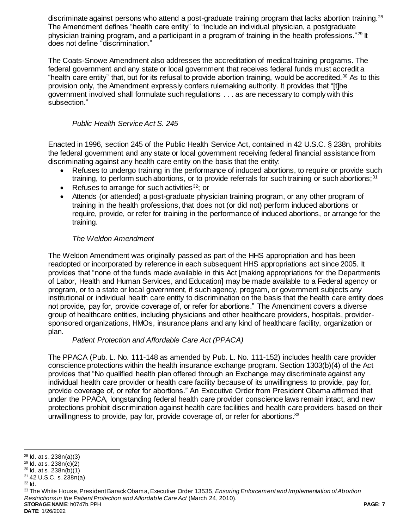discriminate against persons who attend a post-graduate training program that lacks abortion training.<sup>28</sup> The Amendment defines "health care entity" to "include an individual physician, a postgraduate physician training program, and a participant in a program of training in the health professions."<sup>29</sup> It does not define "discrimination."

The Coats-Snowe Amendment also addresses the accreditation of medical training programs. The federal government and any state or local government that receives federal funds must accredit a "health care entity" that, but for its refusal to provide abortion training, would be accredited.<sup>30</sup> As to this provision only, the Amendment expressly confers rulemaking authority. It provides that "[t]he government involved shall formulate such regulations . . . as are necessary to comply with this subsection."

## *Public Health Service Act S. 245*

Enacted in 1996, section 245 of the Public Health Service Act, contained in 42 U.S.C. § 238n, prohibits the federal government and any state or local government receiving federal financial assistance from discriminating against any health care entity on the basis that the entity:

- Refuses to undergo training in the performance of induced abortions, to require or provide such training, to perform such abortions, or to provide referrals for such training or such abortions;<sup>31</sup>
- Refuses to arrange for such activities<sup>32</sup>; or
- Attends (or attended) a post-graduate physician training program, or any other program of training in the health professions, that does not (or did not) perform induced abortions or require, provide, or refer for training in the performance of induced abortions, or arrange for the training.

## *The Weldon Amendment*

The Weldon Amendment was originally passed as part of the HHS appropriation and has been readopted or incorporated by reference in each subsequent HHS appropriations act since 2005. It provides that "none of the funds made available in this Act [making appropriations for the Departments of Labor, Health and Human Services, and Education] may be made available to a Federal agency or program, or to a state or local government, if such agency, program, or government subjects any institutional or individual health care entity to discrimination on the basis that the health care entity does not provide, pay for, provide coverage of, or refer for abortions." The Amendment covers a diverse group of healthcare entities, including physicians and other healthcare providers, hospitals, providersponsored organizations, HMOs, insurance plans and any kind of healthcare facility, organization or plan.

## *Patient Protection and Affordable Care Act (PPACA)*

The PPACA (Pub. L. No. 111-148 as amended by Pub. L. No. 111-152) includes health care provider conscience protections within the health insurance exchange program. Section 1303(b)(4) of the Act provides that "No qualified health plan offered through an Exchange may discriminate against any individual health care provider or health care facility because of its unwillingness to provide, pay for, provide coverage of, or refer for abortions." An Executive Order from President Obama affirmed that under the PPACA, longstanding federal health care provider conscience laws remain intact, and new protections prohibit discrimination against health care facilities and health care providers based on their unwillingness to provide, pay for, provide coverage of, or refer for abortions.<sup>33</sup>

l

**DATE**: 1/26/2022

<sup>28</sup> Id. at s. 238n(a)(3)

 $^{29}$  Id. at s. 238n(c)(2)

 $30$  Id. at s. 238n(b)(1)

<sup>31</sup> 42 U.S.C. s. 238n(a)

 $32$  Id.

**STORAGE NAME**: h0747b.PPH **PAGE: 7** <sup>33</sup> The White House, President Barack Obama, Executive Order 13535, *Ensuring Enforcement and Implementation of Abortion Restrictions in the Patient Protection and Affordable Care Act* (March 24, 2010).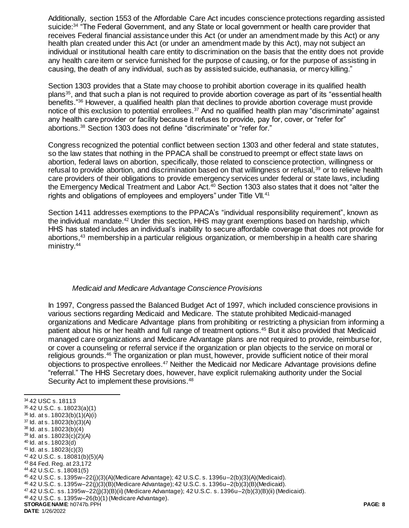Additionally, section 1553 of the Affordable Care Act incudes conscience protections regarding assisted suicide:<sup>34</sup> "The Federal Government, and any State or local government or health care provider that receives Federal financial assistance under this Act (or under an amendment made by this Act) or any health plan created under this Act (or under an amendment made by this Act), may not subject an individual or institutional health care entity to discrimination on the basis that the entity does not provide any health care item or service furnished for the purpose of causing, or for the purpose of assisting in causing, the death of any individual, such as by assisted suicide, euthanasia, or mercy killing."

Section 1303 provides that a State may choose to prohibit abortion coverage in its qualified health plans<sup>35</sup>, and that such a plan is not required to provide abortion coverage as part of its "essential health benefits." <sup>36</sup> However, a qualified health plan that declines to provide abortion coverage must provide notice of this exclusion to potential enrollees.<sup>37</sup> And no qualified health plan may "discriminate" against any health care provider or facility because it refuses to provide, pay for, cover, or "refer for" abortions.<sup>38</sup> Section 1303 does not define "discriminate" or "refer for."

Congress recognized the potential conflict between section 1303 and other federal and state statutes, so the law states that nothing in the PPACA shall be construed to preempt or effect state laws on abortion, federal laws on abortion, specifically, those related to conscience protection, willingness or refusal to provide abortion, and discrimination based on that willingness or refusal,<sup>39</sup> or to relieve health care providers of their obligations to provide emergency services under federal or state laws, including the Emergency Medical Treatment and Labor Act.<sup>40</sup> Section 1303 also states that it does not "alter the rights and obligations of employees and employers" under Title VII.<sup>41</sup>

Section 1411 addresses exemptions to the PPACA's "individual responsibility requirement", known as the individual mandate.<sup>42</sup> Under this section, HHS may grant exemptions based on hardship, which HHS has stated includes an individual's inability to secure affordable coverage that does not provide for abortions,<sup>43</sup> membership in a particular religious organization, or membership in a health care sharing ministry.<sup>44</sup>

#### *Medicaid and Medicare Advantage Conscience Provisions*

In 1997, Congress passed the Balanced Budget Act of 1997, which included conscience provisions in various sections regarding Medicaid and Medicare. The statute prohibited Medicaid-managed organizations and Medicare Advantage plans from prohibiting or restricting a physician from informing a patient about his or her health and full range of treatment options.<sup>45</sup> But it also provided that Medicaid managed care organizations and Medicare Advantage plans are not required to provide, reimburse for, or cover a counseling or referral service if the organization or plan objects to the service on moral or religious grounds.<sup>46</sup> The organization or plan must, however, provide sufficient notice of their moral objections to prospective enrollees.<sup>47</sup> Neither the Medicaid nor Medicare Advantage provisions define "referral." The HHS Secretary does, however, have explicit rulemaking authority under the Social Security Act to implement these provisions.<sup>48</sup>

**STORAGE NAME**: h0747b.PPH **PAGE: 8 DATE**: 1/26/2022 42 U.S.C. s. 18023(a)(1) Id. at s. 18023(b)(1)(A)(i) Id. at s. 18023(b)(3)(A) Id. at s. 18023(b)(4) Id. at s. 18023(c)(2)(A) Id. at s. 18023(d) Id. at s. 18023(c)(3) 42 U.S.C. s. 18081(b)(5)(A) 84 Fed. Reg. at 23,172 42 U.S.C. s. 18081(5) 42 U.S.C. s. 1395w–22(j)(3)(A)(Medicare Advantage); 42 U.S.C. s. 1396u–2(b)(3)(A)(Medicaid). 42 U.S.C. s. 1395w–22(j)(3)(B)(Medicare Advantage); 42 U.S.C. s. 1396u–2(b)(3)(B)(Medicaid). 42 U.S.C. ss. 1395w–22(j)(3)(B)(ii) (Medicare Advantage); 42 U.S.C. s. 1396u–2(b)(3)(B)(ii) (Medicaid). 42 U.S.C. s. 1395w–26(b)(1) (Medicare Advantage).

 $\overline{a}$ 

<sup>34</sup> 42 USC s. 18113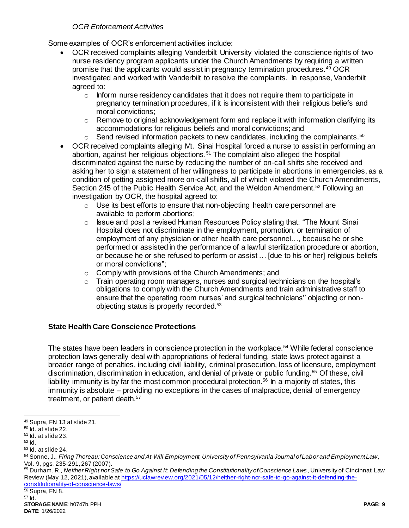Some examples of OCR's enforcement activities include:

- OCR received complaints alleging Vanderbilt University violated the conscience rights of two nurse residency program applicants under the Church Amendments by requiring a written promise that the applicants would assist in pregnancy termination procedures.<sup>49</sup> OCR investigated and worked with Vanderbilt to resolve the complaints. In response, Vanderbilt agreed to:
	- $\circ$  Inform nurse residency candidates that it does not require them to participate in pregnancy termination procedures, if it is inconsistent with their religious beliefs and moral convictions;
	- $\circ$  Remove to original acknowledgement form and replace it with information clarifying its accommodations for religious beliefs and moral convictions; and
	- $\circ$  Send revised information packets to new candidates, including the complainants.<sup>50</sup>
- OCR received complaints alleging Mt. Sinai Hospital forced a nurse to assist in performing an abortion, against her religious objections.<sup>51</sup> The complaint also alleged the hospital discriminated against the nurse by reducing the number of on-call shifts she received and asking her to sign a statement of her willingness to participate in abortions in emergencies, as a condition of getting assigned more on-call shifts, all of which violated the Church Amendments, Section 245 of the Public Health Service Act, and the Weldon Amendment.<sup>52</sup> Following an investigation by OCR, the hospital agreed to:
	- $\circ$  Use its best efforts to ensure that non-objecting health care personnel are available to perform abortions;
	- o Issue and post a revised Human Resources Policy stating that: "The Mount Sinai Hospital does not discriminate in the employment, promotion, or termination of employment of any physician or other health care personnel…, because he or she performed or assisted in the performance of a lawful sterilization procedure or abortion, or because he or she refused to perform or assist … [due to his or her] religious beliefs or moral convictions";
	- o Comply with provisions of the Church Amendments; and
	- $\circ$  Train operating room managers, nurses and surgical technicians on the hospital's obligations to comply with the Church Amendments and train administrative staff to ensure that the operating room nurses' and surgical technicians'' objecting or nonobjecting status is properly recorded.<sup>53</sup>

## **State Health Care Conscience Protections**

The states have been leaders in conscience protection in the workplace.<sup>54</sup> While federal conscience protection laws generally deal with appropriations of federal funding, state laws protect against a broader range of penalties, including civil liability, criminal prosecution, loss of licensure, employment discrimination, discrimination in education, and denial of private or public funding.<sup>55</sup> Of these, civil liability immunity is by far the most common procedural protection.<sup>56</sup> In a majority of states, this immunity is absolute – providing no exceptions in the cases of malpractice, denial of emergency treatment, or patient death.<sup>57</sup>

l

<sup>55</sup> Durham, R., *Neither Right nor Safe to Go Against It: Defending the Constitutionality of Conscience Laws*, University of Cincinnati Law Review (May 12, 2021), available a[t https://uclawreview.org/2021/05/12/neither-right-nor-safe-to-go-against-it-defending-the](https://uclawreview.org/2021/05/12/neither-right-nor-safe-to-go-against-it-defending-the-constitutionality-of-conscience-laws/)[constitutionality-of-conscience-laws/](https://uclawreview.org/2021/05/12/neither-right-nor-safe-to-go-against-it-defending-the-constitutionality-of-conscience-laws/)

<sup>56</sup> Supra, FN 8.

<sup>49</sup> Supra, FN 13 at slide 21.

 $50$  ld. at slide 22.

<sup>51</sup> Id. at slide 23.

 $52$   $\text{Id}$ .

<sup>53</sup> Id. at slide 24.

<sup>54</sup> Sonne, J., *Firing Thoreau: Conscience and At-Will Employment, University of Pennsylvania Journal of Labor and Employment Law*, Vol. 9, pgs. 235-291, 267 (2007).

 $57$  Id.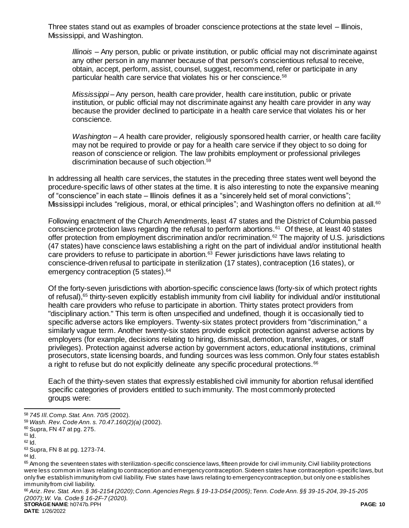Three states stand out as examples of broader conscience protections at the state level – Illinois, Mississippi, and Washington.

*Illinois –* Any person, public or private institution, or public official may not discriminate against any other person in any manner because of that person's conscientious refusal to receive, obtain, accept, perform, assist, counsel, suggest, recommend, refer or participate in any particular health care service that violates his or her conscience.<sup>58</sup>

*Mississippi –* Any person, health care provider, health care institution, public or private institution, or public official may not discriminate against any health care provider in any way because the provider declined to participate in a health care service that violates his or her conscience.

*Washington – A* health care provider, religiously sponsored health carrier, or health care facility may not be required to provide or pay for a health care service if they object to so doing for reason of conscience or religion. The law prohibits employment or professional privileges discrimination because of such objection.<sup>59</sup>

In addressing all health care services, the statutes in the preceding three states went well beyond the procedure-specific laws of other states at the time. It is also interesting to note the expansive meaning of "conscience" in each state – Illinois defines it as a "sincerely held set of moral convictions"; Mississippi includes "religious, moral, or ethical principles"; and Washington offers no definition at all.<sup>60</sup>

Following enactment of the Church Amendments, least 47 states and the District of Columbia passed conscience protection laws regarding the refusal to perform abortions. $61$  Of these, at least 40 states offer protection from employment discrimination and/or recrimination.<sup>62</sup> The majority of U.S. jurisdictions (47 states) have conscience laws establishing a right on the part of individual and/or institutional health care providers to refuse to participate in abortion.<sup>63</sup> Fewer jurisdictions have laws relating to conscience-driven refusal to participate in sterilization (17 states), contraception (16 states), or emergency contraception (5 states).<sup>64</sup>

Of the forty-seven jurisdictions with abortion-specific conscience laws (forty-six of which protect rights of refusal),<sup>65</sup> thirty-seven explicitly establish immunity from civil liability for individual and/or institutional health care providers who refuse to participate in abortion. Thirty states protect providers from "disciplinary action." This term is often unspecified and undefined, though it is occasionally tied to specific adverse actors like employers. Twenty-six states protect providers from "discrimination," a similarly vague term. Another twenty-six states provide explicit protection against adverse actions by employers (for example, decisions relating to hiring, dismissal, demotion, transfer, wages, or staff privileges). Protection against adverse action by government actors, educational institutions, criminal prosecutors, state licensing boards, and funding sources was less common. Only four states establish a right to refuse but do not explicitly delineate any specific procedural protections.<sup>66</sup>

Each of the thirty-seven states that expressly established civil immunity for abortion refusal identified specific categories of providers entitled to such immunity. The most commonly protected groups were:

**STORAGE NAME**: h0747b.PPH **PAGE: 10** <sup>66</sup> *Ariz. Rev. Stat. Ann. § 36-2154 (2020)*; *Conn. Agencies Regs. § 19-13-D54 (2005)*; *Tenn. Code Ann. §§ 39-15-204, 39-15-205 (2007)*; *W. Va. Code § 16-2F-7 (2020).*

l <sup>58</sup> *745 Ill. Comp. Stat. Ann. 70/5* (2002).

<sup>59</sup> *Wash. Rev. Code Ann. s. 70.47.160(2)(a)* (2002).

<sup>60</sup> Supra, FN 47 at pg. 275.

<sup>61</sup> Id.

 $62$  Id.

<sup>63</sup> Supra, FN 8 at pg. 1273-74.

 $64$  Id.

 $65$  Among the seventeen states with sterilization-specific conscience laws, fifteen provide for civil immunity. Civil liability protections were less common in laws relating to contraception and emergency contraception. Sixteen states have contraception -specific laws, but only five establish immunity from civil liability. Five states have laws relating to emergency contraception, but only one e stablishes immunity from civil liability.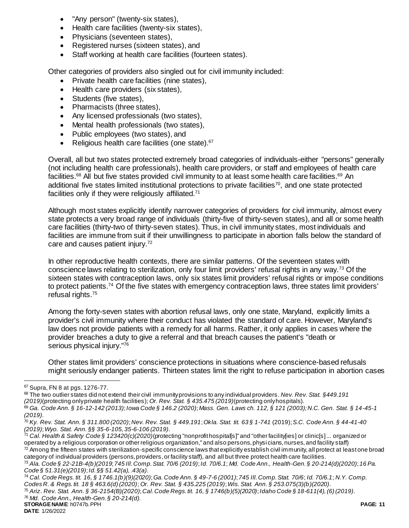- "Any person" (twenty-six states),
- Health care facilities (twenty-six states),
- Physicians (seventeen states),
- Registered nurses (sixteen states), and
- Staff working at health care facilities (fourteen states).

Other categories of providers also singled out for civil immunity included:

- Private health care facilities (nine states),
- Health care providers (six states).
- Students (five states),
- Pharmacists (three states),
- Any licensed professionals (two states),
- Mental health professionals (two states),
- Public employees (two states), and
- Religious health care facilities (one state).<sup>67</sup>

Overall, all but two states protected extremely broad categories of individuals-either "persons" generally (not including health care professionals), health care providers, or staff and employees of health care facilities.<sup>68</sup> All but five states provided civil immunity to at least some health care facilities.<sup>69</sup> An additional five states limited institutional protections to private facilities<sup>70</sup>, and one state protected facilities only if they were religiously affiliated.<sup>71</sup>

Although most states explicitly identify narrower categories of providers for civil immunity, almost every state protects a very broad range of individuals (thirty-five of thirty-seven states), and all or some health care facilities (thirty-two of thirty-seven states). Thus, in civil immunity states, most individuals and facilities are immune from suit if their unwillingness to participate in abortion falls below the standard of care and causes patient injury.<sup>72</sup>

In other reproductive health contexts, there are similar patterns. Of the seventeen states with conscience laws relating to sterilization, only four limit providers' refusal rights in any way.<sup>73</sup> Of the sixteen states with contraception laws, only six states limit providers' refusal rights or impose conditions to protect patients.<sup>74</sup> Of the five states with emergency contraception laws, three states limit providers' refusal rights.<sup>75</sup>

Among the forty-seven states with abortion refusal laws, only one state, Maryland, explicitly limits a provider's civil immunity where their conduct has violated the standard of care. However, Maryland's law does not provide patients with a remedy for all harms. Rather, it only applies in cases where the provider breaches a duty to give a referral and that breach causes the patient's "death or serious physical injury."76

Other states limit providers' conscience protections in situations where conscience-based refusals might seriously endanger patients. Thirteen states limit the right to refuse participation in abortion cases

 $\overline{a}$ 

*(2019)*(protecting only private health facilities); *Or. Rev. Stat. § 435.475 (2019)*(protecting only hospitals).

<sup>71</sup> *Cal. Health & Safety Code § 123420(c)(2020)*(protecting "nonprofit hospital[s]" and "other facility[ies] or clinic[s] ... organized or operated by a religious corporation or other religious organization," and also persons, physi cians, nurses, and facility staff)  $^{72}$  Among the fifteen states with sterilization-specific conscience laws that explicitly establish civil immunity, all protect at least one broad

category of individual providers (persons, providers, or facility staff), and all but three protect health care facilities.

<sup>73</sup> *Ala. Code § 22-21B-4(b)(2019*; *745 Ill. Comp. Stat. 70/6 (2019)*; *Id. 70/6.1*; *Md. Code Ann., Health-Gen. § 20-214(d)(2020)*; *16 Pa. Code § 51.31(e)(2019)*; *Id. §§ 51.42(a), .43(a)*.

<sup>67</sup> Supra, FN 8 at pgs. 1276-77.

<sup>68</sup> The two outlier states did not extend their civil immunity provisions to any individual providers. *Nev. Rev. Stat. §449.191* 

<sup>69</sup> *Ga. Code Ann. § 16-12-142 (2013)*; *Iowa Code § 146.2 (2020)*; *Mass. Gen. Laws ch. 112, § 121 (2003); N.C. Gen. Stat. § 14-45-1 (2019)*.

<sup>70</sup> *Ky. Rev. Stat. Ann. § 311.800 (2020)*; *Nev. Rev. Stat. § 449.191*; *Okla. Stat. tit. 63 § 1-741* (2019); *S.C. Code Ann. § 44-41-40 (2019)*; *Wyo. Stat. Ann. §§ 35-6-105, 35-6-106 (2019)*.

**STORAGE NAME**: h0747b.PPH **PAGE: 11** <sup>74</sup> *Cal. Code Regs. tit. 16, § 1746.1(b)(9)(2020)*; *Ga. Code Ann. § 49-7-6 (2001)*; *745 Ill. Comp. Stat. 70/6*; *Id. 70/6.1*; *N.Y. Comp. Codes R. & Regs. tit. 18 § 463.6(d) (2020)*; *Or. Rev. Stat. § 435.225 (2019)*; *Wis. Stat. Ann. § 253.075(3)(b)(2020)*. <sup>75</sup> *Ariz. Rev. Stat. Ann. § 36-2154(B)(2020)*; *Cal. Code Regs. tit. 16, § 1746(b)(5)(2020)*; *Idaho Code § 18-611(4), (6) (2019)*. *<sup>76</sup> Md. Code Ann., Health-Gen. § 20-214(d).*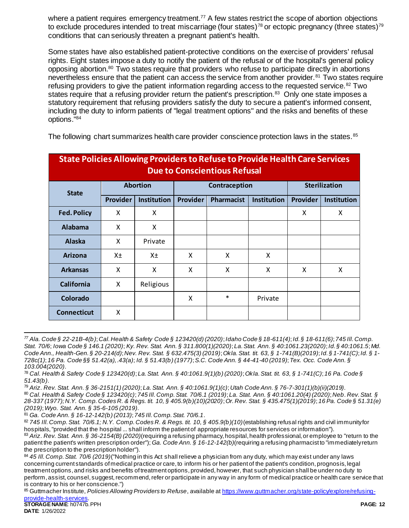where a patient requires emergency treatment.<sup>77</sup> A few states restrict the scope of abortion objections to exclude procedures intended to treat miscarriage (four states)<sup>78</sup> or ectopic pregnancy (three states)<sup>79</sup> conditions that can seriously threaten a pregnant patient's health.

Some states have also established patient-protective conditions on the exercise of providers' refusal rights. Eight states impose a duty to notify the patient of the refusal or of the hospital's general policy opposing abortion.<sup>80</sup> Two states require that providers who refuse to participate directly in abortions nevertheless ensure that the patient can access the service from another provider.<sup>81</sup> Two states require refusing providers to give the patient information regarding access to the requested service.<sup>82</sup> Two states require that a refusing provider return the patient's prescription.<sup>83</sup> Only one state imposes a statutory requirement that refusing providers satisfy the duty to secure a patient's informed consent, including the duty to inform patients of "legal treatment options" and the risks and benefits of these options."<sup>84</sup>

**State Policies Allowing Providers to Refuse to Provide Health Care Services Due to Conscientious Refusal Abortion Contraception Sterilization**

The following chart summarizes health care provider conscience protection laws in the states.<sup>85</sup>

| <u>Due to conscientibus Refusal</u> |                 |                    |               |                   |                    |                      |             |
|-------------------------------------|-----------------|--------------------|---------------|-------------------|--------------------|----------------------|-------------|
| <b>State</b>                        | <b>Abortion</b> |                    | Contraception |                   |                    | <b>Sterilization</b> |             |
|                                     | Provider        | <b>Institution</b> | Provider      | <b>Pharmacist</b> | <b>Institution</b> | Provider             | Institution |
| <b>Fed. Policy</b>                  | X               | X                  |               |                   |                    | X                    | X           |
| Alabama                             | x               | X                  |               |                   |                    |                      |             |
| <b>Alaska</b>                       | X               | Private            |               |                   |                    |                      |             |
| <b>Arizona</b>                      | X±              | Χ±                 | X             | Χ                 | X                  |                      |             |
| <b>Arkansas</b>                     | X               | Χ                  | X             | X                 | X                  | X                    | X           |
| <b>California</b>                   | X               | Religious          |               |                   |                    |                      |             |
| Colorado                            |                 |                    | X             | $\ast$            | Private            |                      |             |
| <b>Connecticut</b>                  | X               |                    |               |                   |                    |                      |             |

*<sup>77</sup> Ala. Code § 22-21B-4(b)*; *Cal. Health & Safety Code § 123420(d) (2020)*; *Idaho Code § 18-611(4)*; *Id. § 18-611(6)*; *745 Ill. Comp. Stat. 70/6*; *Iowa Code § 146.1 (2020)*; *Ky. Rev. Stat. Ann. § 311.800(1)(2020)*; *La. Stat. Ann. § 40:1061.23(2020)*; *Id. § 40:1061.5*; *Md. Code Ann., Health-Gen. § 20-214(d)*; *Nev. Rev. Stat. § 632.475(3) (2019)*; *Okla. Stat. tit. 63, § 1-741(B)(2019)*; *Id. § 1-741(C)*; *Id. § 1- 728c(1)*; *16 Pa. Code §§ 51.42(a), .43(a)*; *Id. § 51.43(b) (1977)*; *S.C. Code Ann. § 44-41-40 (2019)*; *Tex. Occ. Code Ann. § 103.004(2020)*.

 $\overline{a}$ 

<sup>78</sup> *Cal. Health & Safety Code § 123420(d)*; *La. Stat. Ann. § 40:1061.9(1)(b) (2020)*; *Okla. Stat. tit. 63, § 1-741(C)*; *16 Pa. Code § 51.43(b)*.

<sup>79</sup> *Ariz. Rev. Stat. Ann. § 36-2151(1) (2020)*; *La. Stat. Ann. § 40:1061.9(1)(c)*; *Utah Code Ann. § 76-7-301(1)(b)(ii)(2019)*.

<sup>80</sup> *Cal. Health & Safety Code § 123420(c)*; *745 Ill. Comp. Stat. 70/6.1 (2019)*; *La. Stat. Ann. § 40:1061.20(4) (2020)*; *Neb. Rev. Stat. § 28-337 (1977); N.Y. Comp. Codes R. & Regs. tit. 10, § 405.9(b)(10)(2020)*; *Or. Rev. Stat. § 435.475(1)(2019)*; *16 Pa. Code § 51.31(e) (2019)*; *Wyo. Stat. Ann. § 35-6-105 (2019)*.

<sup>81</sup> *Ga. Code Ann. § 16-12-142(b) (2013)*; *745 Ill. Comp. Stat. 70/6.1*.

<sup>82</sup> *745 Ill. Comp. Stat. 70/6.1; N.Y. Comp. Codes R. & Regs. tit. 10, § 405.9(b)(10)*(establishing refusal rights and civil immunity for hospitals, "provided that the hospital ... shall inform the patient of appropriate resources for services or information"). <sup>83</sup> *Ariz. Rev. Stat. Ann. § 36-2154(B) (2020)*(requiring a refusing pharmacy, hospital, health professional, or employee to "return to the

patient the patient's written prescription order"); *Ga. Code Ann. § 16-12-142(b)*(requiring a refusing pharmacist to "immediately return the prescription to the prescription holder").

<sup>84 45</sup> III. Comp. Stat. 70/6 (2019)("Nothing in this Act shall relieve a physician from any duty, which may exist under any laws concerning current standards of medical practice or care, to inform his or her patient of the patient's condition, prognosis, legal treatment options, and risks and benefits of treatment options, provided, however, that such physician shall be under no duty to perform, assist, counsel, suggest, recommend, refer or participate in any way in any form of medical practice or health care service that is contrary to his or her conscience.")

**STORAGE NAME**: h0747b.PPH **PAGE: 12** <sup>85</sup> Guttmacher Institute, *Policies Allowing Providers to Refuse*, available at [https://www.guttmacher.org/state-policy/explore/refusing](https://www.guttmacher.org/state-policy/explore/refusing-provide-health-services)[provide-health-services](https://www.guttmacher.org/state-policy/explore/refusing-provide-health-services).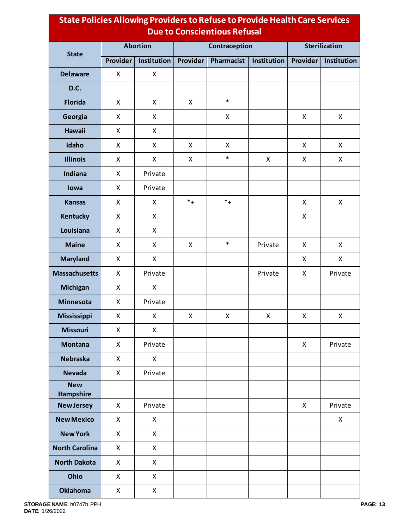| <b>State Policies Allowing Providers to Refuse to Provide Health Care Services</b><br><b>Due to Conscientious Refusal</b> |                 |             |          |              |                |              |                 |
|---------------------------------------------------------------------------------------------------------------------------|-----------------|-------------|----------|--------------|----------------|--------------|-----------------|
|                                                                                                                           |                 |             |          |              |                | <b>State</b> | <b>Abortion</b> |
|                                                                                                                           | <b>Provider</b> | Institution | Provider | Pharmacist   | Institution    | Provider     | Institution     |
| <b>Delaware</b>                                                                                                           | X               | X           |          |              |                |              |                 |
| D.C.                                                                                                                      |                 |             |          |              |                |              |                 |
| <b>Florida</b>                                                                                                            | X               | X           | X        | $\ast$       |                |              |                 |
| Georgia                                                                                                                   | X               | X           |          | Χ            |                | X            | Χ               |
| <b>Hawaii</b>                                                                                                             | X               | X           |          |              |                |              |                 |
| Idaho                                                                                                                     | X               | X           | X        | X            |                | X            | X               |
| <b>Illinois</b>                                                                                                           | X               | X           | Χ        | $\ast$       | X              | X            | Χ               |
| Indiana                                                                                                                   | X               | Private     |          |              |                |              |                 |
| lowa                                                                                                                      | X               | Private     |          |              |                |              |                 |
| <b>Kansas</b>                                                                                                             | X               | X           | $*$ +    | $*_{+}$      |                | X            | X               |
| <b>Kentucky</b>                                                                                                           | X               | X           |          |              |                | X            |                 |
| Louisiana                                                                                                                 | X               | X           |          |              |                |              |                 |
| <b>Maine</b>                                                                                                              | X               | X           | X        | $\ast$       | Private        | X            | X               |
| <b>Maryland</b>                                                                                                           | X               | X           |          |              |                | X            | X               |
| <b>Massachusetts</b>                                                                                                      | X               | Private     |          |              | Private        | X            | Private         |
| <b>Michigan</b>                                                                                                           | X               | X           |          |              |                |              |                 |
| Minnesota                                                                                                                 | X               | Private     |          |              |                |              |                 |
| Mississippi                                                                                                               | X               | X           | X        | $\mathsf{X}$ | $\mathsf{X}^-$ | X            | X               |
| <b>Missouri</b>                                                                                                           | X               | X           |          |              |                |              |                 |
| <b>Montana</b>                                                                                                            | X               | Private     |          |              |                | X            | Private         |
| <b>Nebraska</b>                                                                                                           | X               | X           |          |              |                |              |                 |
| <b>Nevada</b>                                                                                                             | X               | Private     |          |              |                |              |                 |
| <b>New</b><br>Hampshire                                                                                                   |                 |             |          |              |                |              |                 |
| <b>New Jersey</b>                                                                                                         | X               | Private     |          |              |                | X            | Private         |
| <b>New Mexico</b>                                                                                                         | X               | X           |          |              |                |              | X               |
| <b>New York</b>                                                                                                           | X               | X           |          |              |                |              |                 |
| <b>North Carolina</b>                                                                                                     | X               | X           |          |              |                |              |                 |
| <b>North Dakota</b>                                                                                                       | X               | X           |          |              |                |              |                 |
| Ohio                                                                                                                      | X               | X           |          |              |                |              |                 |
| <b>Oklahoma</b>                                                                                                           | X               | X           |          |              |                |              |                 |

 $\overline{\phantom{a}}$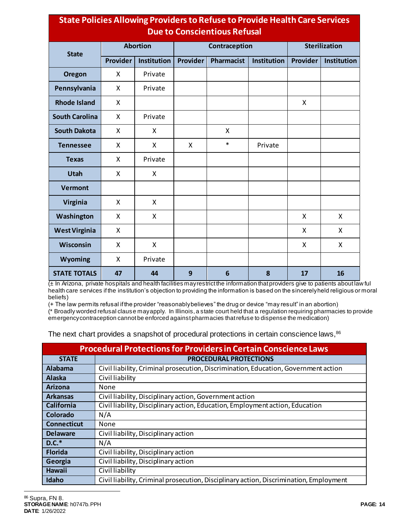| <b>State Policies Allowing Providers to Refuse to Provide Health Care Services</b><br><b>Due to Conscientious Refusal</b> |                 |               |                      |  |
|---------------------------------------------------------------------------------------------------------------------------|-----------------|---------------|----------------------|--|
| <b>State</b>                                                                                                              | <b>Abortion</b> | Contraception | <b>Sterilization</b> |  |

| <b>State</b>          |                           |             |                 |                   |             |              |             |
|-----------------------|---------------------------|-------------|-----------------|-------------------|-------------|--------------|-------------|
|                       | Provider                  | Institution | <b>Provider</b> | <b>Pharmacist</b> | Institution | Provider     | Institution |
| Oregon                | X                         | Private     |                 |                   |             |              |             |
| Pennsylvania          | X                         | Private     |                 |                   |             |              |             |
| <b>Rhode Island</b>   | X                         |             |                 |                   |             | X            |             |
| <b>South Carolina</b> | X                         | Private     |                 |                   |             |              |             |
| <b>South Dakota</b>   | X                         | X           |                 | X                 |             |              |             |
| <b>Tennessee</b>      | X                         | X           | X               | $\ast$            | Private     |              |             |
| <b>Texas</b>          | X                         | Private     |                 |                   |             |              |             |
| <b>Utah</b>           | X                         | X           |                 |                   |             |              |             |
| <b>Vermont</b>        |                           |             |                 |                   |             |              |             |
| Virginia              | X                         | X           |                 |                   |             |              |             |
| Washington            | $\boldsymbol{\mathsf{X}}$ | X           |                 |                   |             | $\mathsf{X}$ | X           |
| <b>West Virginia</b>  | X                         |             |                 |                   |             | X            | X           |
| Wisconsin             | X                         | X           |                 |                   |             | X            | X           |
| Wyoming               | X                         | Private     |                 |                   |             |              |             |
| <b>STATE TOTALS</b>   | 47                        | 44          | 9               | $6\phantom{1}6$   | 8           | 17           | 16          |

(± In Arizona, private hospitals and health facilities may restrict the information that providers give to patients about law ful health care services if the institution's objection to providing the information is based on the sincerely held religious or moral beliefs)

(+ The law permits refusal if the provider "reasonably believes" the drug or device "may result" in an abortion)

(\* Broadly worded refusal clause may apply. In Illinois, a state court held that a regulation requiring pharmacies to provide emergency contraception cannot be enforced against pharmacies that refuse to dispense the medication)

The next chart provides a snapshot of procedural protections in certain conscience laws,<sup>86</sup>

| <b>Procedural Protections for Providers in Certain Conscience Laws</b> |                                                                                        |  |  |  |
|------------------------------------------------------------------------|----------------------------------------------------------------------------------------|--|--|--|
| <b>STATE</b>                                                           | <b>PROCEDURAL PROTECTIONS</b>                                                          |  |  |  |
| <b>Alabama</b>                                                         | Civil liability, Criminal prosecution, Discrimination, Education, Government action    |  |  |  |
| <b>Alaska</b>                                                          | Civil liability                                                                        |  |  |  |
| Arizona                                                                | None                                                                                   |  |  |  |
| <b>Arkansas</b>                                                        | Civil liability, Disciplinary action, Government action                                |  |  |  |
| California                                                             | Civil liability, Disciplinary action, Education, Employment action, Education          |  |  |  |
| Colorado                                                               | N/A                                                                                    |  |  |  |
| <b>Connecticut</b>                                                     | None                                                                                   |  |  |  |
| <b>Delaware</b>                                                        | Civil liability, Disciplinary action                                                   |  |  |  |
| $D.C.*$                                                                | N/A                                                                                    |  |  |  |
| <b>Florida</b>                                                         | Civil liability, Disciplinary action                                                   |  |  |  |
| Georgia                                                                | Civil liability, Disciplinary action                                                   |  |  |  |
| Hawaii                                                                 | Civil liability                                                                        |  |  |  |
| Idaho                                                                  | Civil liability, Criminal prosecution, Disciplinary action, Discrimination, Employment |  |  |  |

 $\overline{a}$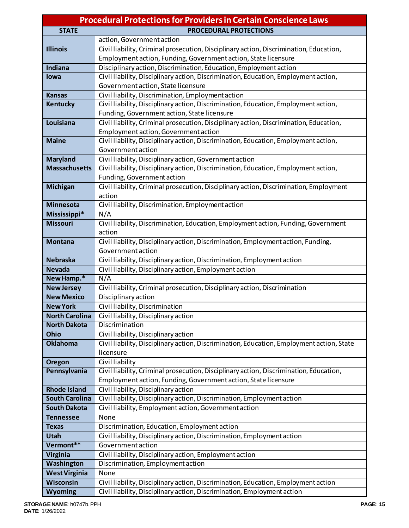|                       | <b>Procedural Protections for Providers in Certain Conscience Laws</b>                                                                                   |
|-----------------------|----------------------------------------------------------------------------------------------------------------------------------------------------------|
| <b>STATE</b>          | <b>PROCEDURAL PROTECTIONS</b>                                                                                                                            |
|                       | action, Government action                                                                                                                                |
| <b>Illinois</b>       | Civil liability, Criminal prosecution, Disciplinary action, Discrimination, Education,                                                                   |
|                       | Employment action, Funding, Government action, State licensure                                                                                           |
| Indiana               | Disciplinary action, Discrimination, Education, Employment action                                                                                        |
| lowa                  | Civil liability, Disciplinary action, Discrimination, Education, Employment action,                                                                      |
|                       | Government action, State licensure                                                                                                                       |
| <b>Kansas</b>         | Civil liability, Discrimination, Employment action                                                                                                       |
| <b>Kentucky</b>       | Civil liability, Disciplinary action, Discrimination, Education, Employment action,                                                                      |
|                       | Funding, Government action, State licensure                                                                                                              |
| Louisiana             | Civil liability, Criminal prosecution, Disciplinary action, Discrimination, Education,                                                                   |
|                       | Employment action, Government action                                                                                                                     |
| <b>Maine</b>          | Civil liability, Disciplinary action, Discrimination, Education, Employment action,                                                                      |
|                       | Government action                                                                                                                                        |
| <b>Maryland</b>       | Civil liability, Disciplinary action, Government action                                                                                                  |
| <b>Massachusetts</b>  | Civil liability, Disciplinary action, Discrimination, Education, Employment action,                                                                      |
| <b>Michigan</b>       | Funding, Government action<br>Civil liability, Criminal prosecution, Disciplinary action, Discrimination, Employment                                     |
|                       | action                                                                                                                                                   |
| <b>Minnesota</b>      | Civil liability, Discrimination, Employment action                                                                                                       |
| Mississippi*          | N/A                                                                                                                                                      |
| <b>Missouri</b>       | Civil liability, Discrimination, Education, Employment action, Funding, Government                                                                       |
|                       | action                                                                                                                                                   |
| <b>Montana</b>        | Civil liability, Disciplinary action, Discrimination, Employment action, Funding,                                                                        |
|                       | Government action                                                                                                                                        |
| <b>Nebraska</b>       | Civil liability, Disciplinary action, Discrimination, Employment action                                                                                  |
| <b>Nevada</b>         | Civil liability, Disciplinary action, Employment action                                                                                                  |
| New Hamp.*            | N/A                                                                                                                                                      |
| <b>New Jersey</b>     | Civil liability, Criminal prosecution, Disciplinary action, Discrimination                                                                               |
| <b>New Mexico</b>     | Disciplinary action                                                                                                                                      |
| <b>New York</b>       | Civil liability, Discrimination                                                                                                                          |
| <b>North Carolina</b> | Civil liability, Disciplinary action                                                                                                                     |
| <b>North Dakota</b>   | Discrimination                                                                                                                                           |
| Ohio                  | Civil liability, Disciplinary action                                                                                                                     |
| <b>Oklahoma</b>       | Civil liability, Disciplinary action, Discrimination, Education, Employment action, State                                                                |
|                       | licensure                                                                                                                                                |
| <b>Oregon</b>         | Civil liability                                                                                                                                          |
| Pennsylvania          | Civil liability, Criminal prosecution, Disciplinary action, Discrimination, Education,<br>Employment action, Funding, Government action, State licensure |
| <b>Rhode Island</b>   | Civil liability, Disciplinary action                                                                                                                     |
| <b>South Carolina</b> | Civil liability, Disciplinary action, Discrimination, Employment action                                                                                  |
| <b>South Dakota</b>   | Civil liability, Employment action, Government action                                                                                                    |
| <b>Tennessee</b>      | None                                                                                                                                                     |
| <b>Texas</b>          | Discrimination, Education, Employment action                                                                                                             |
| <b>Utah</b>           | Civil liability, Disciplinary action, Discrimination, Employment action                                                                                  |
| Vermont**             | Government action                                                                                                                                        |
| <b>Virginia</b>       | Civil liability, Disciplinary action, Employment action                                                                                                  |
| Washington            | Discrimination, Employment action                                                                                                                        |
| <b>West Virginia</b>  | None                                                                                                                                                     |
| Wisconsin             | Civil liability, Disciplinary action, Discrimination, Education, Employment action                                                                       |
| Wyoming               | Civil liability, Disciplinary action, Discrimination, Employment action                                                                                  |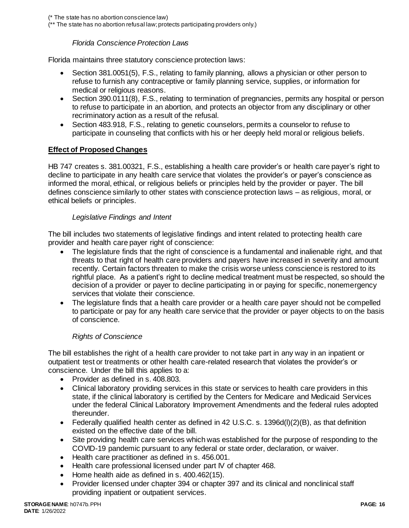(\* The state has no abortion conscience law)

(\*\* The state has no abortion refusal law; protects participating providers only.)

#### *Florida Conscience Protection Laws*

Florida maintains three statutory conscience protection laws:

- Section 381.0051(5), F.S., relating to family planning, allows a physician or other person to refuse to furnish any contraceptive or family planning service, supplies, or information for medical or religious reasons.
- Section 390.0111(8), F.S., relating to termination of pregnancies, permits any hospital or person to refuse to participate in an abortion, and protects an objector from any disciplinary or other recriminatory action as a result of the refusal.
- Section 483.918, F.S., relating to genetic counselors, permits a counselor to refuse to participate in counseling that conflicts with his or her deeply held moral or religious beliefs.

#### **Effect of Proposed Changes**

HB 747 creates s. 381.00321, F.S., establishing a health care provider's or health care payer's right to decline to participate in any health care service that violates the provider's or payer's conscience as informed the moral, ethical, or religious beliefs or principles held by the provider or payer. The bill defines conscience similarly to other states with conscience protection laws – as religious, moral, or ethical beliefs or principles.

#### *Legislative Findings and Intent*

The bill includes two statements of legislative findings and intent related to protecting health care provider and health care payer right of conscience:

- The legislature finds that the right of conscience is a fundamental and inalienable right, and that threats to that right of health care providers and payers have increased in severity and amount recently. Certain factors threaten to make the crisis worse unless conscience is restored to its rightful place. As a patient's right to decline medical treatment must be respected, so should the decision of a provider or payer to decline participating in or paying for specific, nonemergency services that violate their conscience.
- The legislature finds that a health care provider or a health care payer should not be compelled to participate or pay for any health care service that the provider or payer objects to on the basis of conscience.

## *Rights of Conscience*

The bill establishes the right of a health care provider to not take part in any way in an inpatient or outpatient test or treatments or other health care-related research that violates the provider's or conscience. Under the bill this applies to a:

- Provider as defined in s. 408.803.
- Clinical laboratory providing services in this state or services to health care providers in this state, if the clinical laboratory is certified by the Centers for Medicare and Medicaid Services under the federal Clinical Laboratory Improvement Amendments and the federal rules adopted thereunder.
- Federally qualified health center as defined in 42 U.S.C. s. 1396d( $I/(2)(B)$ , as that definition existed on the effective date of the bill.
- Site providing health care services which was established for the purpose of responding to the COVID-19 pandemic pursuant to any federal or state order, declaration, or waiver.
- Health care practitioner as defined in s. 456.001.
- Health care professional licensed under part IV of chapter 468.
- Home health aide as defined in s. 400.462(15).
- Provider licensed under chapter 394 or chapter 397 and its clinical and nonclinical staff providing inpatient or outpatient services.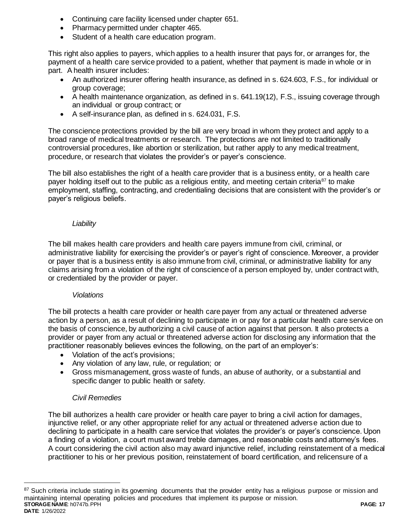- Continuing care facility licensed under chapter 651.
- Pharmacy permitted under chapter 465.
- Student of a health care education program.

This right also applies to payers, which applies to a health insurer that pays for, or arranges for, the payment of a health care service provided to a patient, whether that payment is made in whole or in part. A health insurer includes:

- An authorized insurer offering health insurance, as defined in s. 624.603, F.S., for individual or group coverage;
- A health maintenance organization, as defined in s. 641.19(12), F.S., issuing coverage through an individual or group contract; or
- A self-insurance plan, as defined in s. 624.031, F.S.

The conscience protections provided by the bill are very broad in whom they protect and apply to a broad range of medical treatments or research. The protections are not limited to traditionally controversial procedures, like abortion or sterilization, but rather apply to any medical treatment, procedure, or research that violates the provider's or payer's conscience.

The bill also establishes the right of a health care provider that is a business entity, or a health care payer holding itself out to the public as a religious entity, and meeting certain criteria<sup>87</sup> to make employment, staffing, contracting, and credentialing decisions that are consistent with the provider's or payer's religious beliefs.

## *Liability*

The bill makes health care providers and health care payers immune from civil, criminal, or administrative liability for exercising the provider's or payer's right of conscience. Moreover, a provider or payer that is a business entity is also immune from civil, criminal, or administrative liability for any claims arising from a violation of the right of conscience of a person employed by, under contract with, or credentialed by the provider or payer.

## *Violations*

The bill protects a health care provider or health care payer from any actual or threatened adverse action by a person, as a result of declining to participate in or pay for a particular health care service on the basis of conscience, by authorizing a civil cause of action against that person. It also protects a provider or payer from any actual or threatened adverse action for disclosing any information that the practitioner reasonably believes evinces the following, on the part of an employer's:

- Violation of the act's provisions;
- Any violation of any law, rule, or regulation; or
- Gross mismanagement, gross waste of funds, an abuse of authority, or a substantial and specific danger to public health or safety.

## *Civil Remedies*

 $\overline{a}$ 

The bill authorizes a health care provider or health care payer to bring a civil action for damages, injunctive relief, or any other appropriate relief for any actual or threatened adverse action due to declining to participate in a health care service that violates the provider's or payer's conscience. Upon a finding of a violation, a court must award treble damages, and reasonable costs and attorney's fees. A court considering the civil action also may award injunctive relief, including reinstatement of a medical practitioner to his or her previous position, reinstatement of board certification, and relicensure of a

**STORAGE NAME**: h0747b.PPH **PAGE: 17 DATE**: 1/26/2022 <sup>87</sup> Such criteria include stating in its governing documents that the provider entity has a religious purpose or mission and maintaining internal operating policies and procedures that implement its purpose or mission.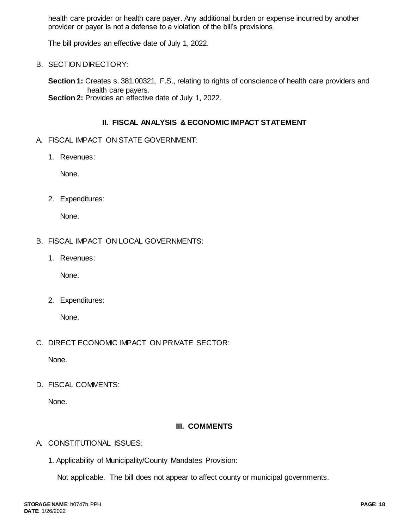health care provider or health care payer. Any additional burden or expense incurred by another provider or payer is not a defense to a violation of the bill's provisions.

The bill provides an effective date of July 1, 2022.

B. SECTION DIRECTORY:

**Section 1:** Creates s. 381.00321, F.S., relating to rights of conscience of health care providers and health care payers.

**Section 2:** Provides an effective date of July 1, 2022.

## **II. FISCAL ANALYSIS & ECONOMIC IMPACT STATEMENT**

- A. FISCAL IMPACT ON STATE GOVERNMENT:
	- 1. Revenues:

None.

2. Expenditures:

None.

## B. FISCAL IMPACT ON LOCAL GOVERNMENTS:

1. Revenues:

None.

2. Expenditures:

None.

C. DIRECT ECONOMIC IMPACT ON PRIVATE SECTOR:

None.

D. FISCAL COMMENTS:

None.

## **III. COMMENTS**

## A. CONSTITUTIONAL ISSUES:

1. Applicability of Municipality/County Mandates Provision:

Not applicable. The bill does not appear to affect county or municipal governments.